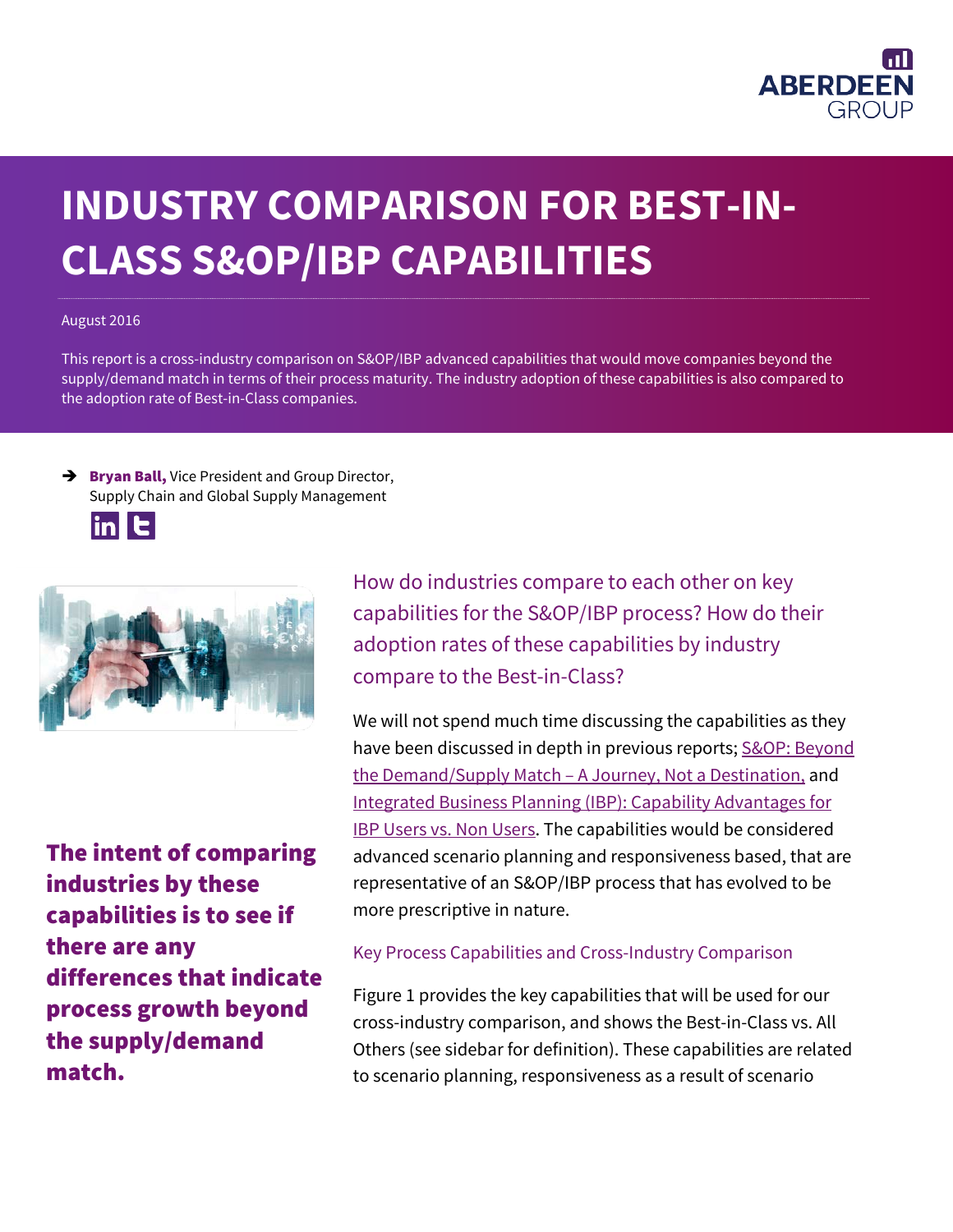

# **INDUSTRY COMPARISON FOR BEST-IN-CLASS S&OP/IBP CAPABILITIES**

#### August 2016

This report is a cross-industry comparison on S&OP/IBP advanced capabilities that would move companies beyond the supply/demand match in terms of their process maturity. The industry adoption of these capabilities is also compared to the adoption rate of Best-in-Class companies.

 $\rightarrow$  Bryan Ball, Vice President and Group Director, Supply Chain and Global Supply Management





The intent of comparing industries by these capabilities is to see if there are any differences that indicate process growth beyond the supply/demand match.

How do industries compare to each other on key capabilities for the S&OP/IBP process? How do their adoption rates of these capabilities by industry compare to the Best-in-Class?

We will not spend much time discussing the capabilities as they have been discussed in depth in previous reports; [S&OP: Beyond](http://www.aberdeen.com/research/10625/10625-rr-csco-supplychain/content.aspx)  the Demand/Supply Match – [A Journey, Not a Destination,](http://www.aberdeen.com/research/10625/10625-rr-csco-supplychain/content.aspx) and [Integrated Business Planning \(IBP\): Capability Advantages for](http://www.aberdeen.com/research/12390/12390-rr-ibp-sop-planning/content.aspx)  [IBP Users vs. Non Users.](http://www.aberdeen.com/research/12390/12390-rr-ibp-sop-planning/content.aspx) The capabilities would be considered advanced scenario planning and responsiveness based, that are representative of an S&OP/IBP process that has evolved to be more prescriptive in nature.

### Key Process Capabilities and Cross-Industry Comparison

Figure 1 provides the key capabilities that will be used for our cross-industry comparison, and shows the Best-in-Class vs. All Others (see sidebar for definition). These capabilities are related to scenario planning, responsiveness as a result of scenario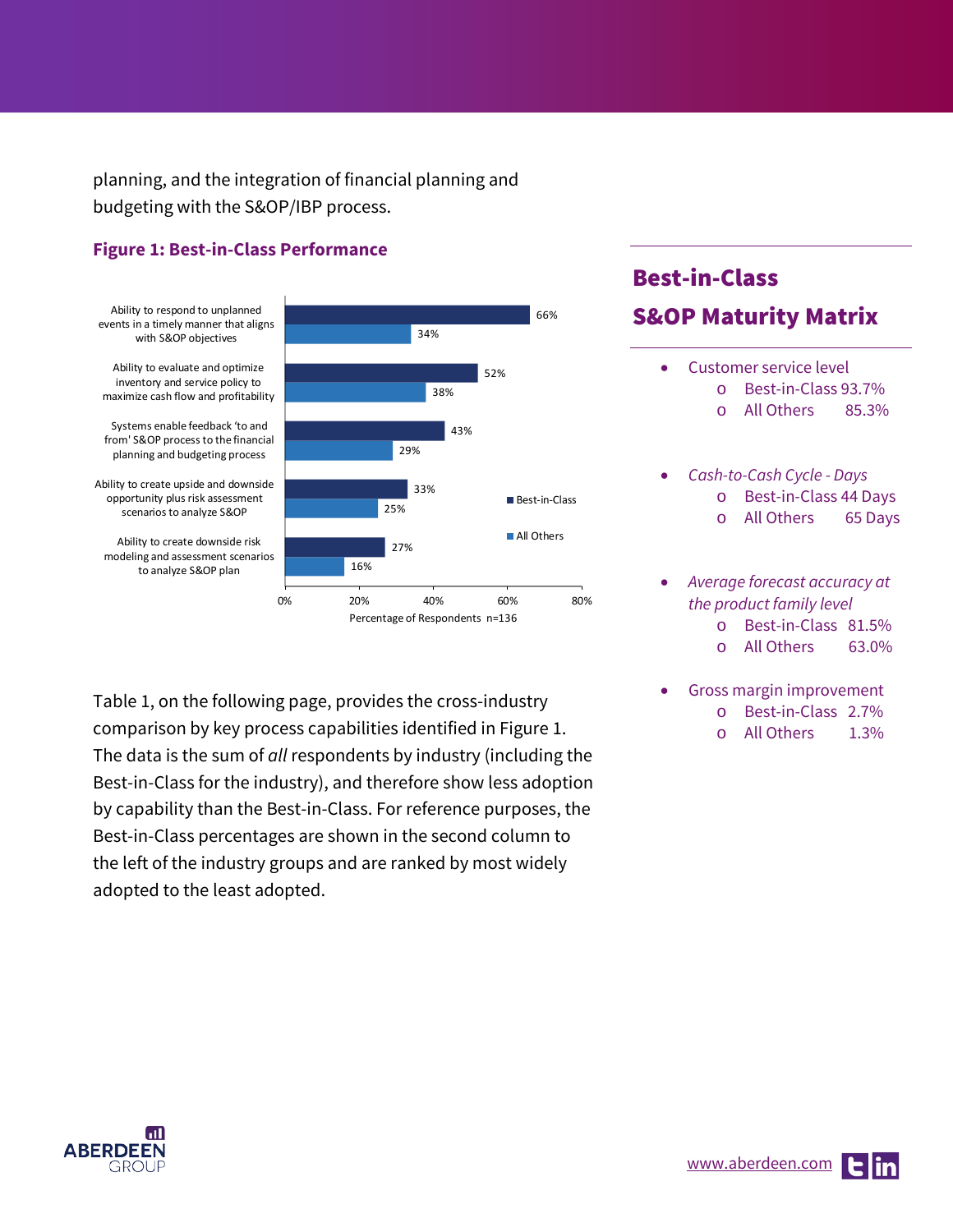planning, and the integration of financial planning and budgeting with the S&OP/IBP process.

## **Figure 1: Best-in-Class Performance**



Systems enable feedback 'to and from' S&OP process to the financial planning and budgeting process

Ability to create upside and downside opportunity plus risk assessment scenarios to analyze S&OP

Ability to create downside risk modeling and assessment scenarios to analyze S&OP plan



## Table 1, on the following page, provides the cross-industry comparison by key process capabilities identified in Figure 1. The data is the sum of *all* respondents by industry (including the Best-in-Class for the industry), and therefore show less adoption by capability than the Best-in-Class. For reference purposes, the Best-in-Class percentages are shown in the second column to the left of the industry groups and are ranked by most widely adopted to the least adopted.

# Best-in-Class S&OP Maturity Matrix

# • Customer service level

- o Best-in-Class 93.7%<br>o All Others 85.3% o All Others
- *Cash-to-Cash Cycle - Days* o Best-in-Class 44 Days o All Others 65 Days
- *Average forecast accuracy at the product family level* o Best-in-Class 81.5% o All Others 63.0%
- Gross margin improvement o Best-in-Class 2.7% o All Others 1.3%

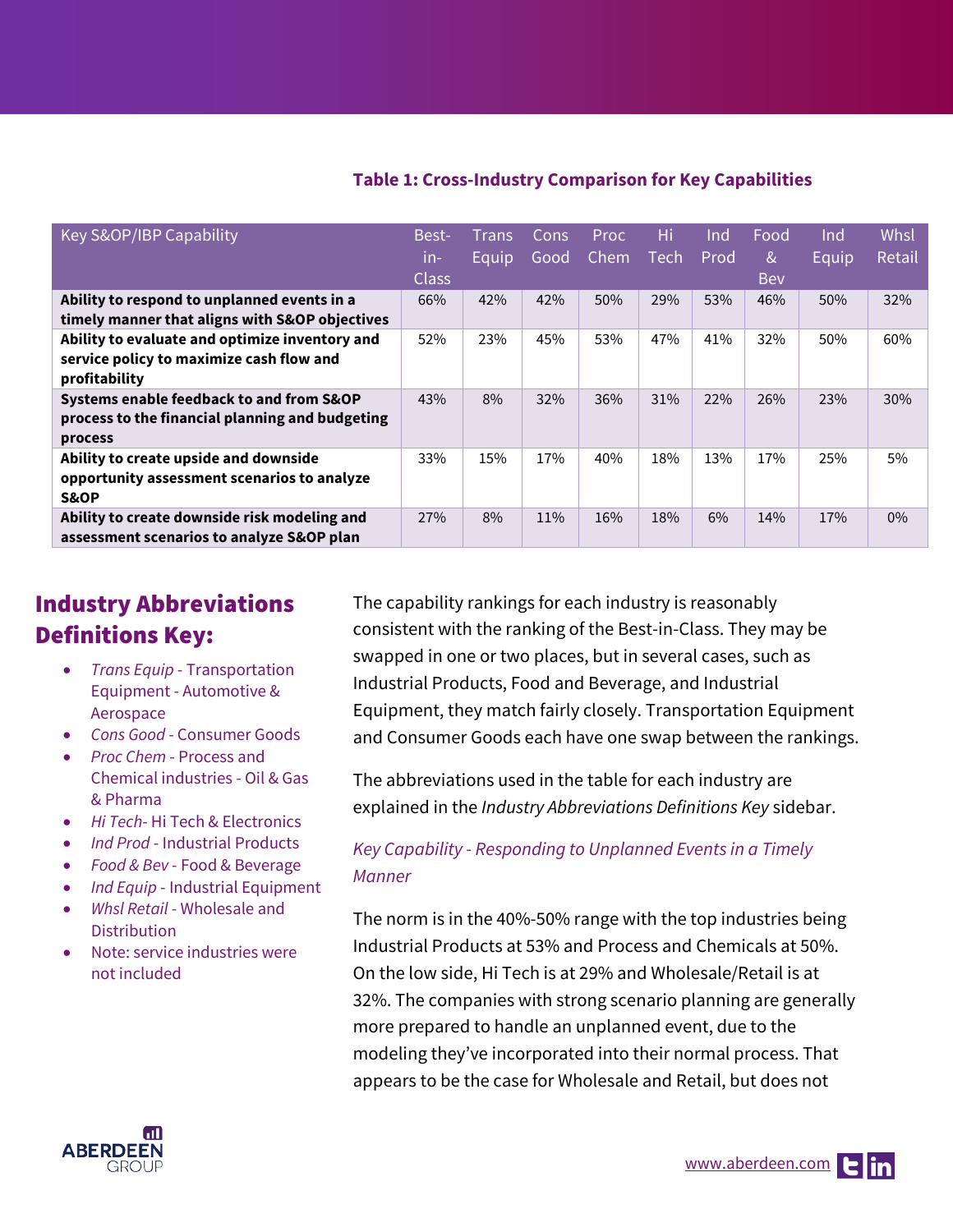## **Table 1: Cross-Industry Comparison for Key Capabilities**

| Key S&OP/IBP Capability                         | Best-        | Trans | Cons | <b>Proc</b> | Hi          | Ind  | Food | Ind   | Whsl   |
|-------------------------------------------------|--------------|-------|------|-------------|-------------|------|------|-------|--------|
|                                                 | in-          | Equip | Good | Chem        | <b>Tech</b> | Prod | &    | Equip | Retail |
|                                                 | <b>Class</b> |       |      |             |             |      | Bev  |       |        |
| Ability to respond to unplanned events in a     | 66%          | 42%   | 42%  | 50%         | 29%         | 53%  | 46%  | 50%   | 32%    |
| timely manner that aligns with S&OP objectives  |              |       |      |             |             |      |      |       |        |
| Ability to evaluate and optimize inventory and  | 52%          | 23%   | 45%  | 53%         | 47%         | 41%  | 32%  | 50%   | 60%    |
| service policy to maximize cash flow and        |              |       |      |             |             |      |      |       |        |
| profitability                                   |              |       |      |             |             |      |      |       |        |
| Systems enable feedback to and from S&OP        | 43%          | 8%    | 32%  | 36%         | 31%         | 22%  | 26%  | 23%   | 30%    |
| process to the financial planning and budgeting |              |       |      |             |             |      |      |       |        |
| process                                         |              |       |      |             |             |      |      |       |        |
| Ability to create upside and downside           | 33%          | 15%   | 17%  | 40%         | 18%         | 13%  | 17%  | 25%   | 5%     |
| opportunity assessment scenarios to analyze     |              |       |      |             |             |      |      |       |        |
| S&OP                                            |              |       |      |             |             |      |      |       |        |
| Ability to create downside risk modeling and    | 27%          | 8%    | 11%  | 16%         | 18%         | 6%   | 14%  | 17%   | $0\%$  |
| assessment scenarios to analyze S&OP plan       |              |       |      |             |             |      |      |       |        |

# Industry Abbreviations Definitions Key:

- *Trans Equip* Transportation Equipment - Automotive & Aerospace
- *Cons Good* Consumer Goods
- *Proc Chem* Process and Chemical industries - Oil & Gas & Pharma
- *Hi Tech* Hi Tech & Electronics
- *Ind Prod* Industrial Products
- *Food & Bev* Food & Beverage
- *Ind Equip* Industrial Equipment
- *Whsl Retail* Wholesale and **Distribution**
- Note: service industries were not included

The capability rankings for each industry is reasonably consistent with the ranking of the Best-in-Class. They may be swapped in one or two places, but in several cases, such as Industrial Products, Food and Beverage, and Industrial Equipment, they match fairly closely. Transportation Equipment and Consumer Goods each have one swap between the rankings.

The abbreviations used in the table for each industry are explained in the *Industry Abbreviations Definitions Key* sidebar.

## *Key Capability - Responding to Unplanned Events in a Timely Manner*

The norm is in the 40%-50% range with the top industries being Industrial Products at 53% and Process and Chemicals at 50%. On the low side, Hi Tech is at 29% and Wholesale/Retail is at 32%. The companies with strong scenario planning are generally more prepared to handle an unplanned event, due to the modeling they've incorporated into their normal process. That appears to be the case for Wholesale and Retail, but does not

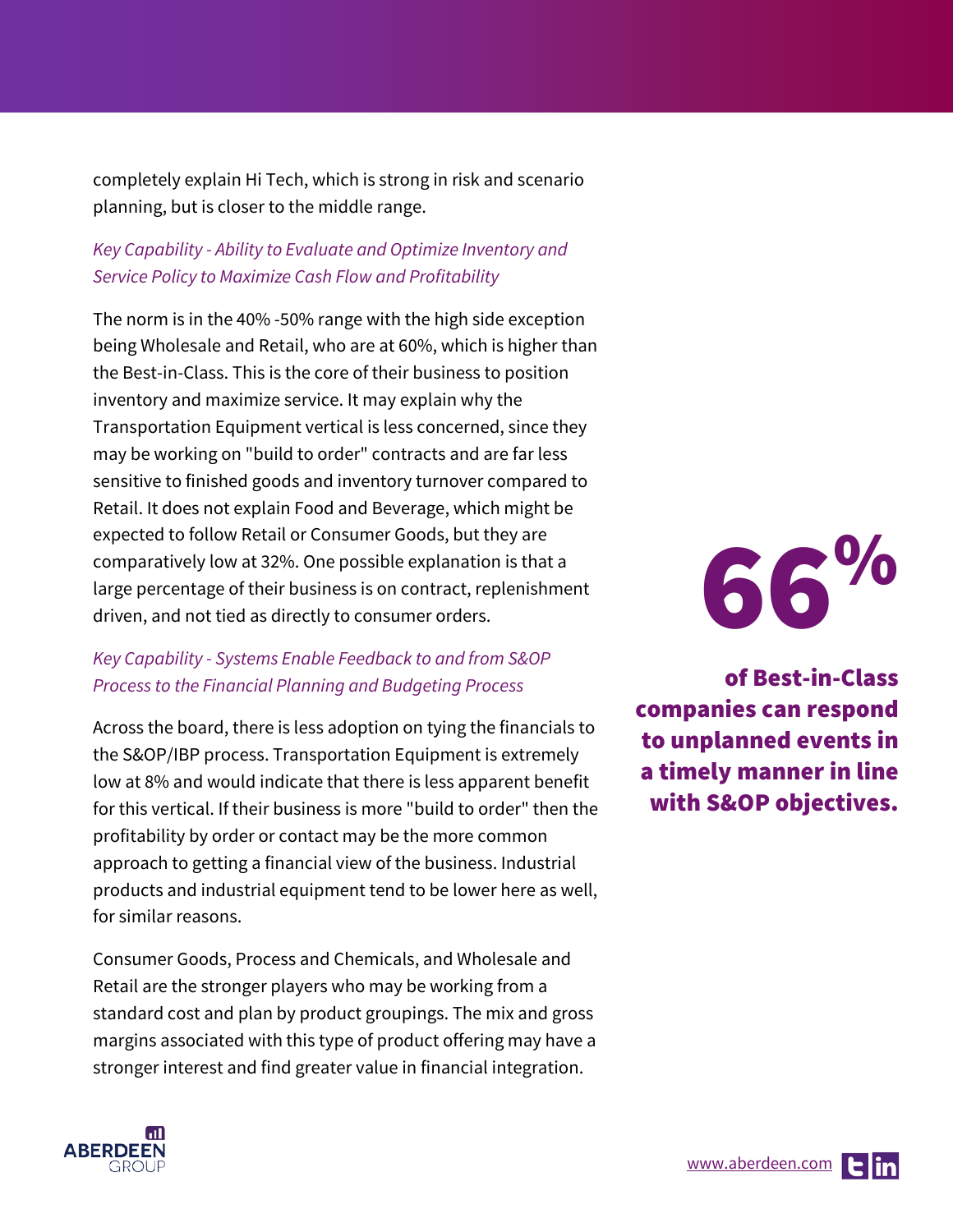completely explain Hi Tech, which is strong in risk and scenario planning, but is closer to the middle range.

## *Key Capability - Ability to Evaluate and Optimize Inventory and Service Policy to Maximize Cash Flow and Profitability*

The norm is in the 40% -50% range with the high side exception being Wholesale and Retail, who are at 60%, which is higher than the Best-in-Class. This is the core of their business to position inventory and maximize service. It may explain why the Transportation Equipment vertical is less concerned, since they may be working on "build to order" contracts and are far less sensitive to finished goods and inventory turnover compared to Retail. It does not explain Food and Beverage, which might be expected to follow Retail or Consumer Goods, but they are comparatively low at 32%. One possible explanation is that a large percentage of their business is on contract, replenishment driven, and not tied as directly to consumer orders.

## *Key Capability - Systems Enable Feedback to and from S&OP Process to the Financial Planning and Budgeting Process*

Across the board, there is less adoption on tying the financials to the S&OP/IBP process. Transportation Equipment is extremely low at 8% and would indicate that there is less apparent benefit for this vertical. If their business is more "build to order" then the profitability by order or contact may be the more common approach to getting a financial view of the business. Industrial products and industrial equipment tend to be lower here as well, for similar reasons.

Consumer Goods, Process and Chemicals, and Wholesale and Retail are the stronger players who may be working from a standard cost and plan by product groupings. The mix and gross margins associated with this type of product offering may have a stronger interest and find greater value in financial integration.



of Best-in-Class companies can respond to unplanned events in a timely manner in line with S&OP objectives.

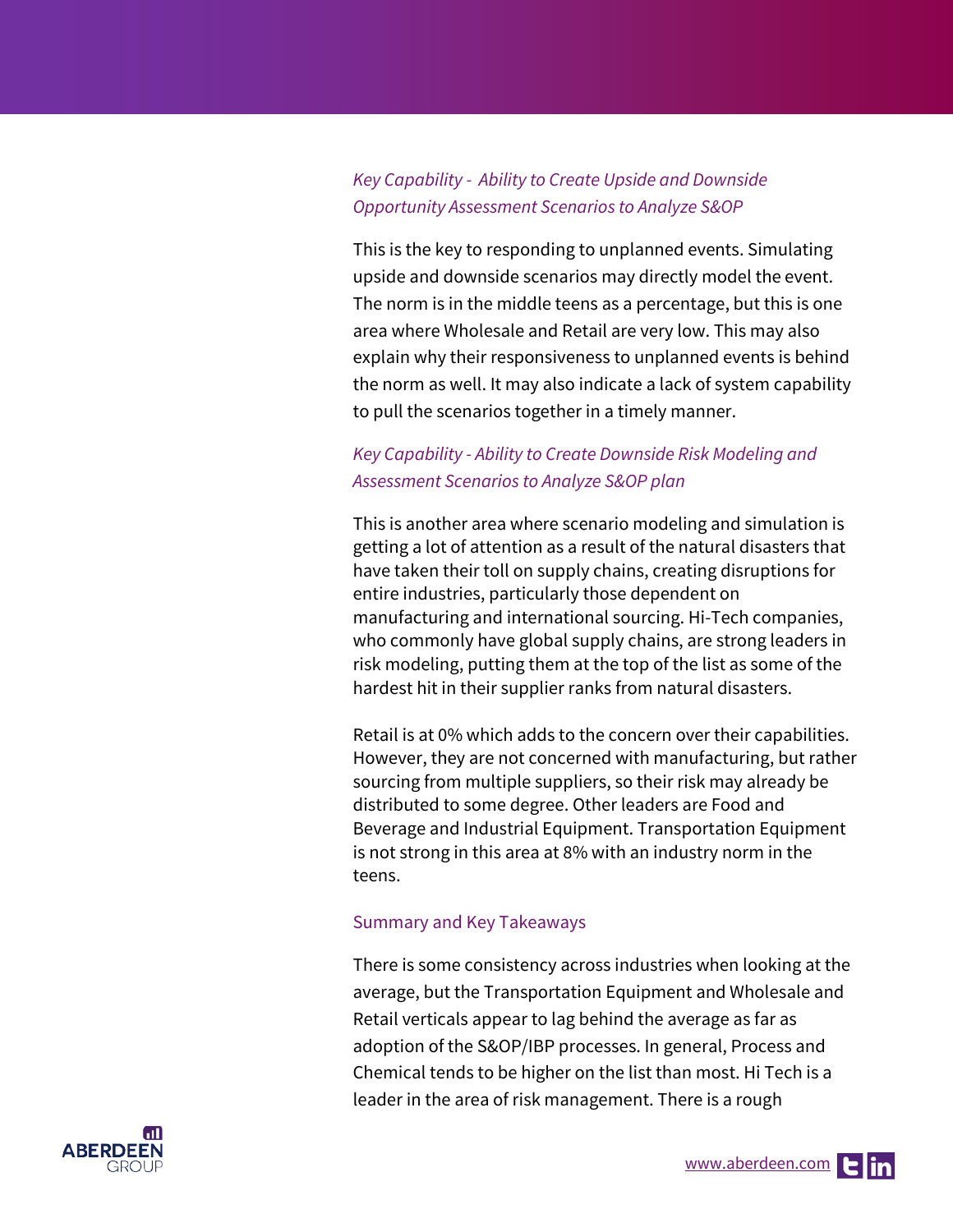## *Key Capability - Ability to Create Upside and Downside Opportunity Assessment Scenarios to Analyze S&OP*

This is the key to responding to unplanned events. Simulating upside and downside scenarios may directly model the event. The norm is in the middle teens as a percentage, but this is one area where Wholesale and Retail are very low. This may also explain why their responsiveness to unplanned events is behind the norm as well. It may also indicate a lack of system capability to pull the scenarios together in a timely manner.

## *Key Capability - Ability to Create Downside Risk Modeling and Assessment Scenarios to Analyze S&OP plan*

This is another area where scenario modeling and simulation is getting a lot of attention as a result of the natural disasters that have taken their toll on supply chains, creating disruptions for entire industries, particularly those dependent on manufacturing and international sourcing. Hi-Tech companies, who commonly have global supply chains, are strong leaders in risk modeling, putting them at the top of the list as some of the hardest hit in their supplier ranks from natural disasters.

Retail is at 0% which adds to the concern over their capabilities. However, they are not concerned with manufacturing, but rather sourcing from multiple suppliers, so their risk may already be distributed to some degree. Other leaders are Food and Beverage and Industrial Equipment. Transportation Equipment is not strong in this area at 8% with an industry norm in the teens.

### Summary and Key Takeaways

There is some consistency across industries when looking at the average, but the Transportation Equipment and Wholesale and Retail verticals appear to lag behind the average as far as adoption of the S&OP/IBP processes. In general, Process and Chemical tends to be higher on the list than most. Hi Tech is a leader in the area of risk management. There is a rough